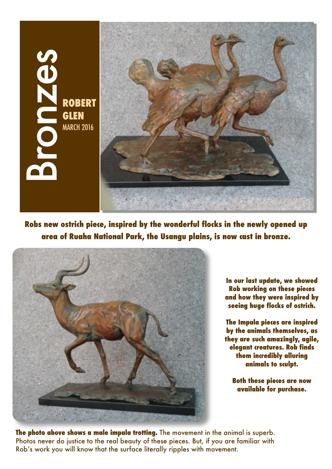

**Robs new ostrich piece, inspired by the wonderful flocks in the newly opened up area of Ruaha National Park, the Usangu plains, is now cast in bronze.** 



**In our last update, we showed Rob working on these pieces and how they were inspired by seeing huge flocks of ostrich.**

**The Impala pieces are inspired by the animals themselves, as they are such amazingly, agile, elegant creatures. Rob finds them incredibly alluring animals to sculpt.** 

**Both these pieces are now available for purchase.**

**The photo above shows a male impala trotting.** The movement in the animal is superb. Photos never do justice to the real beauty of these pieces. But, if you are familiar with Rob's work you will know that the surface literally ripples with movement.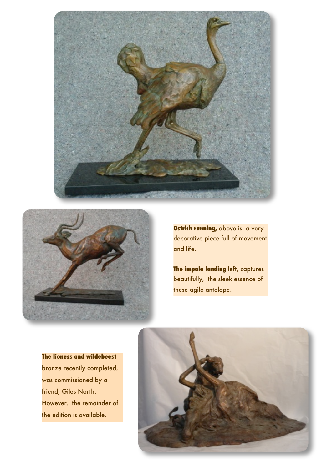



**Ostrich running, above is a very** decorative piece full of movement and life.

**The impala landing** left, captures beautifully, the sleek essence of these agile antelope.

**The lioness and wildebeest**  bronze recently completed, was commissioned by a friend, Giles North. However, the remainder of the edition is available.